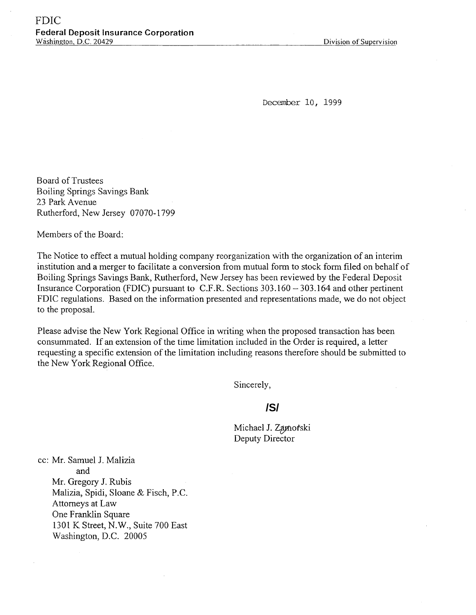December 10, 1999

Board of Trustees Boiling Springs Savings Bank 23 Park Avenue Rutherford, New Jersey 07070-1799

Members of the Board:

The Notice to effect a mutual holding company reorganization with the organization of an interim institution and a merger to facilitate a conversion from mutual form to stock form filed on behalf of Boiling Springs Savings Bank, Rutherford, New Jersey has been reviewed by the Federal Deposit Insurance Corporation (FDIC) pursuant to C.F.R. Sections 303.160 - 303.164 and other pertinent FDIC regulations. Based on the information presented and representations made, we do not object to the proposal.

Please advise the New York Regional Office in writing when the proposed transaction has been consummated. If an extension of the time limitation included in the Order is required, a letter requesting a specific extension of the limitation including reasons therefore should be submitted to the New York Regional Office.

Sincerely,

# **/S/**

Michael J. Zamoŕski Deputy Directo

cc: Mr. Samuel J. Malizia and Mr. Gregory J. Rubis Malizia, Spidi, Sloane & Fisch, P.C. Attorneys at Law One Franklin Square 1301 K Street, N.W., Suite 700 East Washington, D.C. 20005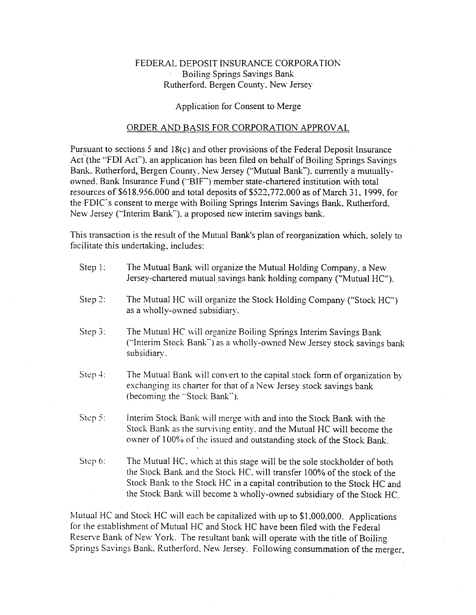# FEDERAL DEPOSIT INSURANCE CORPORATION Boiling Springs Savings Bank Rutherford. Bergen County. New Jersey

#### Application for Consent to Merge

### ORDER AND BASIS FOR CORPORATION APPROVAL

Pursuant to sections 5 and 18(c) and other provisions of the Federal Deposit Insurance Act (the "FDI Act"). an application has been filed on behalf of Boiling Springs Savings Bank. Rutherford, Bergen County, New Jersey ("Mutual Bank"). currently a mutuallyowned. Bank Insurance Fund ("BIF") member state-chartered institution with total resources of \$618.956.000 and total deposits of \$522.772.000 as of March 31. 1999. for the FDIC's consent to merge with Boiling Springs Interim Savings Bank. Rutherford. New Jersey ("Interim Bank"). a proposed new interim savings bank.

This transaction is the result of the Mutual Bank's plan of reorganization which, solely to facilitate this undertaking, includes:

| Step $l$ : | The Mutual Bank will organize the Mutual Holding Company, a New<br>Jersey-chartered mutual savings bank holding company ("Mutual HC").                                                                                                                                                                  |
|------------|---------------------------------------------------------------------------------------------------------------------------------------------------------------------------------------------------------------------------------------------------------------------------------------------------------|
| Step $2$ : | The Mutual HC will organize the Stock Holding Company ("Stock HC")<br>as a wholly-owned subsidiary.                                                                                                                                                                                                     |
| Step $3$ : | The Mutual HC will organize Boiling Springs Interim Savings Bank<br>("Interim Stock Bank") as a wholly-owned New Jersey stock savings bank<br>subsidiary.                                                                                                                                               |
| $Step 4$ : | The Mutual Bank will convert to the capital stock form of organization by<br>exchanging its charter for that of a New Jersey stock savings bank<br>(becoming the "Stock Bank").                                                                                                                         |
| Step 5:    | Interim Stock Bank will merge with and into the Stock Bank with the<br>Stock Bank as the surviving entity, and the Mutual HC will become the<br>owner of 100% of the issued and outstanding stock of the Stock Bank.                                                                                    |
| Step 6:    | The Mutual HC, which at this stage will be the sole stockholder of both<br>the Stock Bank and the Stock HC, will transfer 100% of the stock of the<br>Stock Bank to the Stock HC in a capital contribution to the Stock HC and<br>the Stock Bank will become a wholly-owned subsidiary of the Stock HC. |

Mutual HC and Stock HC will each be capitalized with up to \$1.000.000. Applications for the establishment of Mutual HC and Stock HC have been filed with the Federal Reserve Bank of New York. The resultant bank will operate with the title of Boiling Springs Savings Bank. Rutherford. New Jersey. Following consummation of the merger.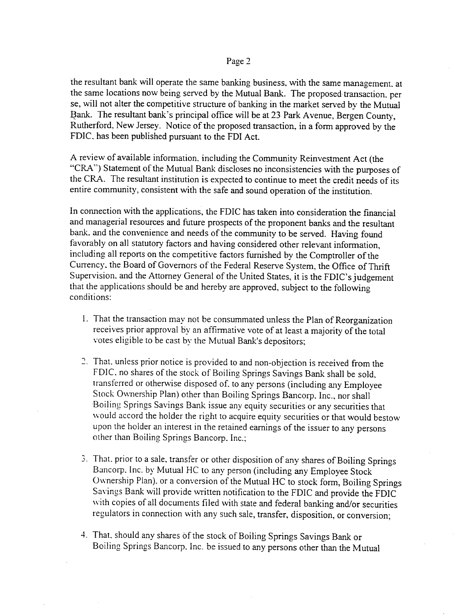the resultant bank will operate the same banking business, with the same management. at the same locations now being served by the Mutual Bank. The proposed transaction, per se, will not alter the competitive structure of banking in the market served by the Mutual Bank. The resultant bank's principal office will be at 23 Park Avenue, Bergen County, Rutherford, New Jersey. Notice of the proposed transaction, in a form approved by the FDIC. has been published pursuant to the FDI Act.

A review of available information, including the Community Reinvestment Act (the "CRA") Statement of the Mutual Bank discloses no inconsistencies with the purposes of the CRA. The resultant institution is expected to continue to meet the credit needs of its entire community, consistent with the safe and sound operation of the institution.

In connection with the applications, the FDIC has taken into consideration the financial and managerial resources and future prospects of the proponent banks and the resultant bank. and the convenience and needs of the community to be served. Having found favorably on all statutory factors and having considered other relevant information, including all reports on the competitive factors furnished by the Comptroller of the Currency. the Board of Governors of the Federal Reserve System, the Office of Thrift Supervision, and the Attorney General of the United States, it is the FDIC's judgement that the applications should be and hereby are approved, subject to the following conditions:

- 1. That the transaction may not be consummated unless the Plan of Reorganization receives prior approval by an affirmative vote of at least a majority of the total votes eligible to be cast by the Mutual Bank's depositors;
- 2. That. unless prior notice is provided to and non-objection is received from the FDIC. no shares of the stock of Boiling Springs Savings Bank shall be sold, transferred or otherwise disposed of, to any persons (including any Employee Stock Ownership Plan) other than Boiling Springs Bancorp. Inc., nor shall Boiling Springs Savings Bank issue any equity securities or any securities that would accord the holder the right to acquire equity securities or that would bestow upon the holder an interest in the retained earnings of the issuer to any persons other than Boiling Springs Bancorp. Inc.;
- 3. That. prior to a sale, transfer or other disposition of any shares of Boiling Springs Bancorp. Inc. by Mutual HC to any person (including any Employee Stock Ownership Plan). or a conversion of the Mutual HC to stock form, Boiling Springs Savings Bank will provide written notification to the FDIC and provide the FDIC with copies of all documents filed with state and federal banking and/or securities regulators in connection with any such sale, transfer, disposition, or conversion;
- 4. That, should any shares of the stock of Boiling Springs Savings Bank or Boiling Springs Bancorp. Inc. be issued to any persons other than the Mutual